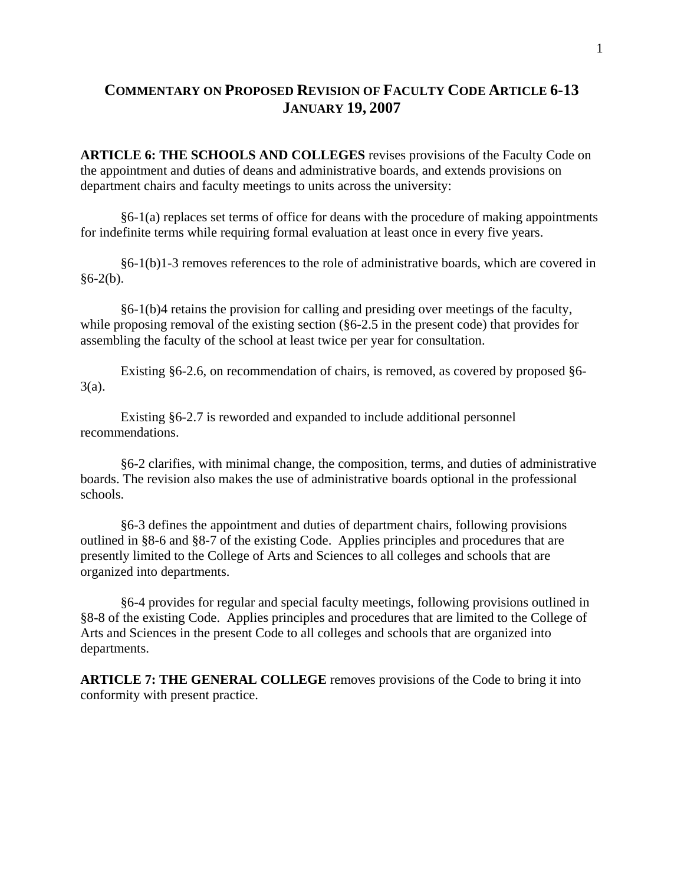## **COMMENTARY ON PROPOSED REVISION OF FACULTY CODE ARTICLE 6-13 JANUARY 19, 2007**

**ARTICLE 6: THE SCHOOLS AND COLLEGES** revises provisions of the Faculty Code on the appointment and duties of deans and administrative boards, and extends provisions on department chairs and faculty meetings to units across the university:

 §6-1(a) replaces set terms of office for deans with the procedure of making appointments for indefinite terms while requiring formal evaluation at least once in every five years.

 §6-1(b)1-3 removes references to the role of administrative boards, which are covered in  $§6-2(b).$ 

 §6-1(b)4 retains the provision for calling and presiding over meetings of the faculty, while proposing removal of the existing section (§6-2.5 in the present code) that provides for assembling the faculty of the school at least twice per year for consultation.

 Existing §6-2.6, on recommendation of chairs, is removed, as covered by proposed §6- 3(a).

 Existing §6-2.7 is reworded and expanded to include additional personnel recommendations.

 §6-2 clarifies, with minimal change, the composition, terms, and duties of administrative boards. The revision also makes the use of administrative boards optional in the professional schools.

 §6-3 defines the appointment and duties of department chairs, following provisions outlined in §8-6 and §8-7 of the existing Code. Applies principles and procedures that are presently limited to the College of Arts and Sciences to all colleges and schools that are organized into departments.

 §6-4 provides for regular and special faculty meetings, following provisions outlined in §8-8 of the existing Code. Applies principles and procedures that are limited to the College of Arts and Sciences in the present Code to all colleges and schools that are organized into departments.

**ARTICLE 7: THE GENERAL COLLEGE** removes provisions of the Code to bring it into conformity with present practice.